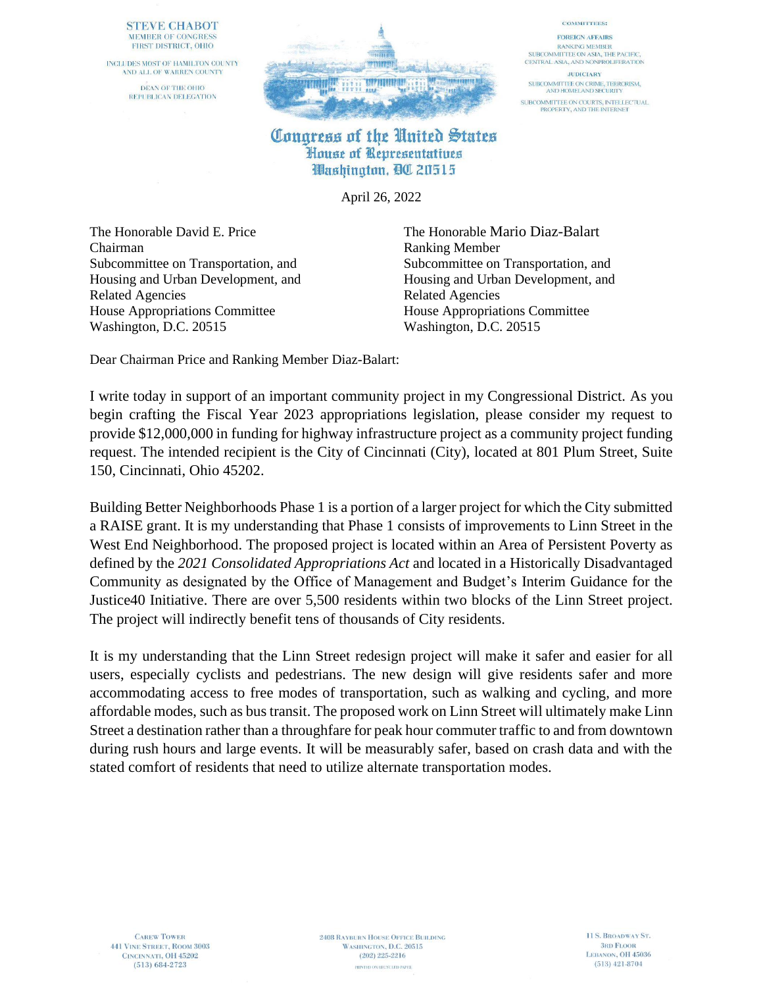### **STEVE CHABOT** MEMBER OF CONGRESS FIRST DISTRICT, OHIO

INCLUDES MOST OF HAMILTON COUNTY AND ALL OF WARREN COUNTY DEAN OF THE OHIO REPUBLICAN DELEGATION



### **COMMITTEES: FOREIGN AFFAIRS RANKING MEMBER**

SUBCOMMITTEE ON ASIA, THE PACIFIC. CENTRAL ASIA, AND NONPROLIFERATION **JUDICIARY** 

SUBCOMMITTEE ON CRIME, TERRORISM,<br>AND HOMELAND SECURITY SUBCOMMITTEE ON COURTS, INTELLECTUAL<br>PROPERTY, AND THE INTERNET

## Congress of the United States House of Representatives Washington, QC 20515

April 26, 2022

The Honorable David E. Price The Honorable Mario Diaz-Balart Chairman Ranking Member Related Agencies Related Agencies House Appropriations Committee House Appropriations Committee Washington, D.C. 20515 Washington, D.C. 20515

Subcommittee on Transportation, and Subcommittee on Transportation, and Housing and Urban Development, and Housing and Urban Development, and

Dear Chairman Price and Ranking Member Diaz-Balart:

I write today in support of an important community project in my Congressional District. As you begin crafting the Fiscal Year 2023 appropriations legislation, please consider my request to provide \$12,000,000 in funding for highway infrastructure project as a community project funding request. The intended recipient is the City of Cincinnati (City), located at 801 Plum Street, Suite 150, Cincinnati, Ohio 45202.

Building Better Neighborhoods Phase 1 is a portion of a larger project for which the City submitted a RAISE grant. It is my understanding that Phase 1 consists of improvements to Linn Street in the West End Neighborhood. The proposed project is located within an Area of Persistent Poverty as defined by the *2021 Consolidated Appropriations Act* and located in a Historically Disadvantaged Community as designated by the Office of Management and Budget's Interim Guidance for the Justice40 Initiative. There are over 5,500 residents within two blocks of the Linn Street project. The project will indirectly benefit tens of thousands of City residents.

It is my understanding that the Linn Street redesign project will make it safer and easier for all users, especially cyclists and pedestrians. The new design will give residents safer and more accommodating access to free modes of transportation, such as walking and cycling, and more affordable modes, such as bus transit. The proposed work on Linn Street will ultimately make Linn Street a destination rather than a throughfare for peak hour commuter traffic to and from downtown during rush hours and large events. It will be measurably safer, based on crash data and with the stated comfort of residents that need to utilize alternate transportation modes.

**CAREW TOWER 441 VINE STREET, ROOM 3003** CINCINNATI, OH 45202  $(513) 684 - 2723$ 

**2408 RAYBURN HOUSE OFFICE BUILDING** WASHINGTON, D.C. 20515  $(202)$  225-2216 PRINTED ON RECYCLED PAPER.

11 S. BROADWAY ST. **3RD FLOOR** LEBANON, OH 45036  $(513)$  421-8704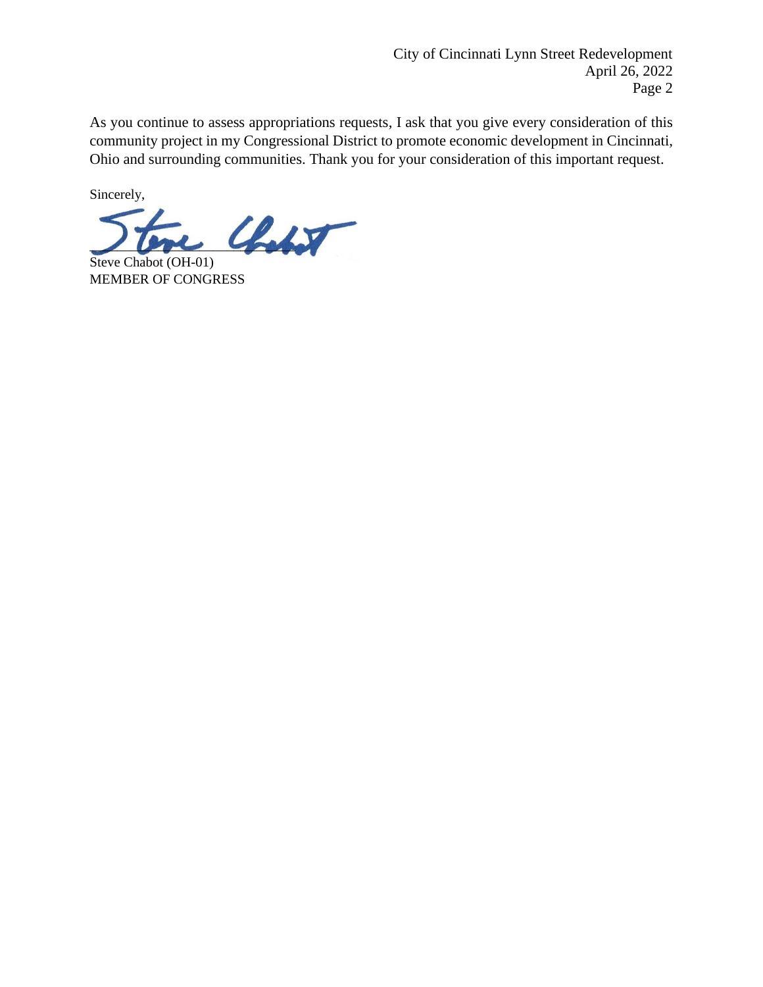As you continue to assess appropriations requests, I ask that you give every consideration of this community project in my Congressional District to promote economic development in Cincinnati, Ohio and surrounding communities. Thank you for your consideration of this important request.

Sincerely,

 $\mathcal{L}_{\mathcal{L}}$ 

Steve Chabot (OH-01) MEMBER OF CONGRESS